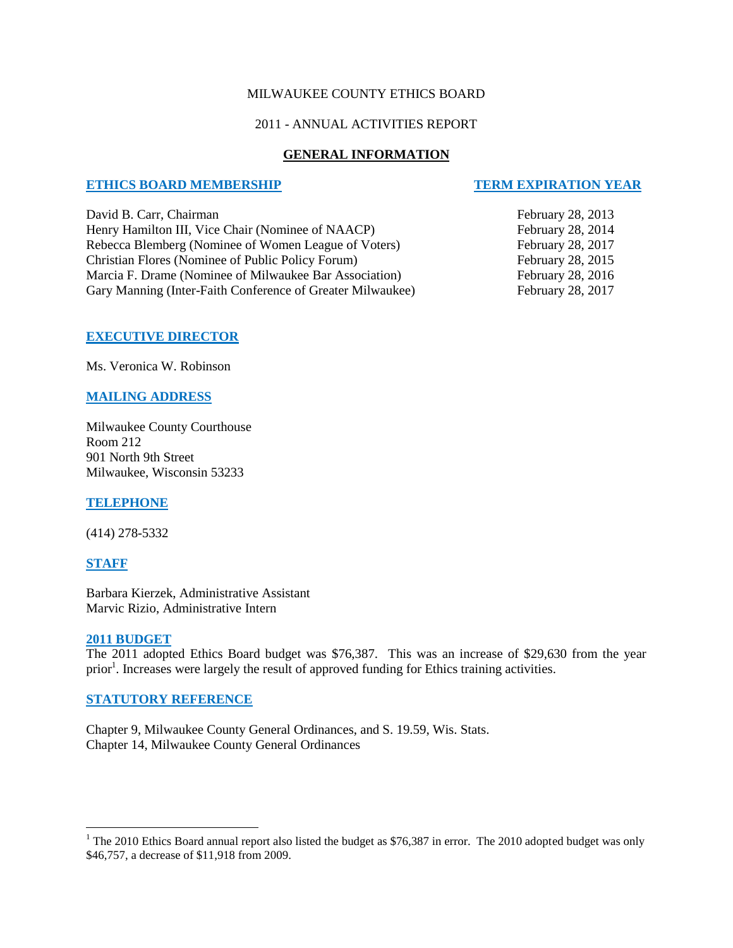#### MILWAUKEE COUNTY ETHICS BOARD

#### 2011 - ANNUAL ACTIVITIES REPORT

## **GENERAL INFORMATION**

#### **ETHICS BOARD MEMBERSHIP TERM EXPIRATION YEAR**

David B. Carr, Chairman February 28, 2013 Henry Hamilton III, Vice Chair (Nominee of NAACP) February 28, 2014 Rebecca Blemberg (Nominee of Women League of Voters) February 28, 2017 Christian Flores (Nominee of Public Policy Forum) February 28, 2015 Marcia F. Drame (Nominee of Milwaukee Bar Association) February 28, 2016 Gary Manning (Inter-Faith Conference of Greater Milwaukee) February 28, 2017

## **EXECUTIVE DIRECTOR**

Ms. Veronica W. Robinson

## **MAILING ADDRESS**

Milwaukee County Courthouse Room 212 901 North 9th Street Milwaukee, Wisconsin 53233

## **TELEPHONE**

(414) 278-5332

#### **STAFF**

 $\overline{a}$ 

Barbara Kierzek, Administrative Assistant Marvic Rizio, Administrative Intern

#### **2011 BUDGET**

The 2011 adopted Ethics Board budget was \$76,387. This was an increase of \$29,630 from the year prior<sup>1</sup>. Increases were largely the result of approved funding for Ethics training activities.

## **STATUTORY REFERENCE**

Chapter 9, Milwaukee County General Ordinances, and S. 19.59, Wis. Stats. Chapter 14, Milwaukee County General Ordinances

<sup>&</sup>lt;sup>1</sup> The 2010 Ethics Board annual report also listed the budget as \$76,387 in error. The 2010 adopted budget was only \$46,757, a decrease of \$11,918 from 2009.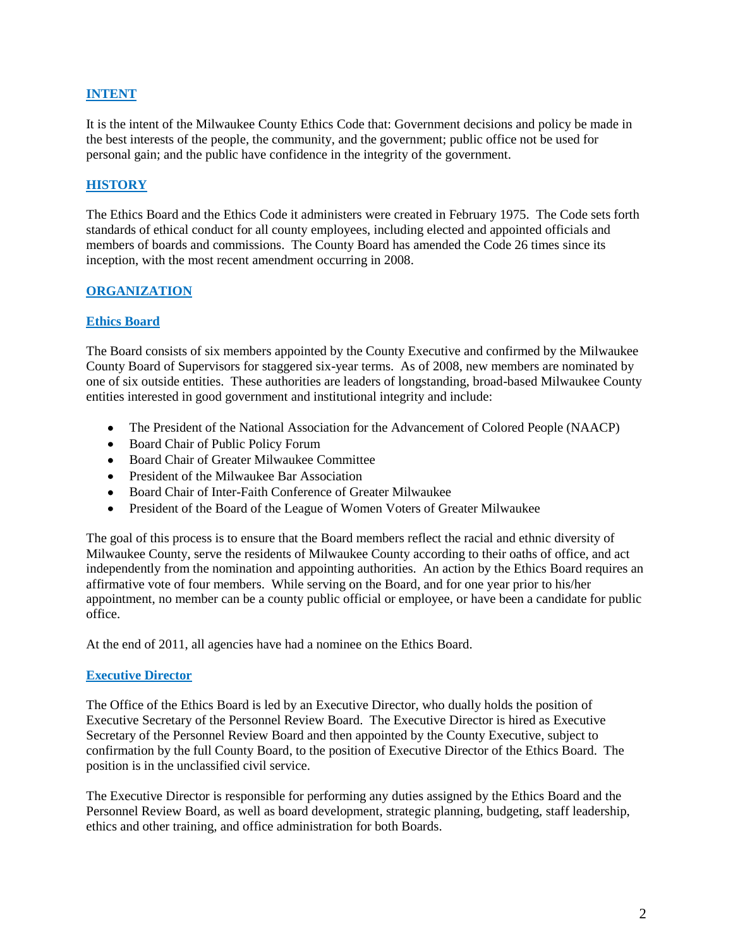## **INTENT**

It is the intent of the Milwaukee County Ethics Code that: Government decisions and policy be made in the best interests of the people, the community, and the government; public office not be used for personal gain; and the public have confidence in the integrity of the government.

## **HISTORY**

The Ethics Board and the Ethics Code it administers were created in February 1975. The Code sets forth standards of ethical conduct for all county employees, including elected and appointed officials and members of boards and commissions. The County Board has amended the Code 26 times since its inception, with the most recent amendment occurring in 2008.

#### **ORGANIZATION**

#### **Ethics Board**

The Board consists of six members appointed by the County Executive and confirmed by the Milwaukee County Board of Supervisors for staggered six-year terms. As of 2008, new members are nominated by one of six outside entities. These authorities are leaders of longstanding, broad-based Milwaukee County entities interested in good government and institutional integrity and include:

- The President of the National Association for the Advancement of Colored People (NAACP)
- Board Chair of Public Policy Forum
- Board Chair of Greater Milwaukee Committee
- President of the Milwaukee Bar Association
- Board Chair of Inter-Faith Conference of Greater Milwaukee
- $\bullet$ President of the Board of the League of Women Voters of Greater Milwaukee

The goal of this process is to ensure that the Board members reflect the racial and ethnic diversity of Milwaukee County, serve the residents of Milwaukee County according to their oaths of office, and act independently from the nomination and appointing authorities. An action by the Ethics Board requires an affirmative vote of four members. While serving on the Board, and for one year prior to his/her appointment, no member can be a county public official or employee, or have been a candidate for public office.

At the end of 2011, all agencies have had a nominee on the Ethics Board.

#### **Executive Director**

The Office of the Ethics Board is led by an Executive Director, who dually holds the position of Executive Secretary of the Personnel Review Board. The Executive Director is hired as Executive Secretary of the Personnel Review Board and then appointed by the County Executive, subject to confirmation by the full County Board, to the position of Executive Director of the Ethics Board. The position is in the unclassified civil service.

The Executive Director is responsible for performing any duties assigned by the Ethics Board and the Personnel Review Board, as well as board development, strategic planning, budgeting, staff leadership, ethics and other training, and office administration for both Boards.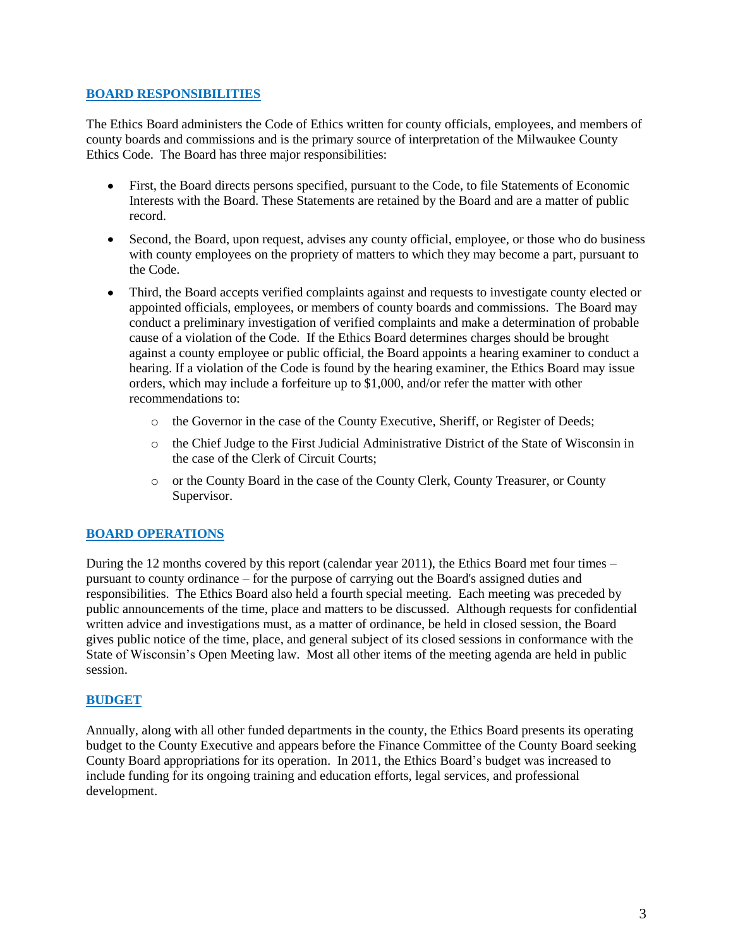#### **BOARD RESPONSIBILITIES**

The Ethics Board administers the Code of Ethics written for county officials, employees, and members of county boards and commissions and is the primary source of interpretation of the Milwaukee County Ethics Code. The Board has three major responsibilities:

- First, the Board directs persons specified, pursuant to the Code, to file Statements of Economic Interests with the Board. These Statements are retained by the Board and are a matter of public record.
- Second, the Board, upon request, advises any county official, employee, or those who do business with county employees on the propriety of matters to which they may become a part, pursuant to the Code.
- Third, the Board accepts verified complaints against and requests to investigate county elected or  $\bullet$ appointed officials, employees, or members of county boards and commissions. The Board may conduct a preliminary investigation of verified complaints and make a determination of probable cause of a violation of the Code. If the Ethics Board determines charges should be brought against a county employee or public official, the Board appoints a hearing examiner to conduct a hearing. If a violation of the Code is found by the hearing examiner, the Ethics Board may issue orders, which may include a forfeiture up to \$1,000, and/or refer the matter with other recommendations to:
	- o the Governor in the case of the County Executive, Sheriff, or Register of Deeds;
	- o the Chief Judge to the First Judicial Administrative District of the State of Wisconsin in the case of the Clerk of Circuit Courts;
	- o or the County Board in the case of the County Clerk, County Treasurer, or County Supervisor.

# **BOARD OPERATIONS**

During the 12 months covered by this report (calendar year 2011), the Ethics Board met four times – pursuant to county ordinance – for the purpose of carrying out the Board's assigned duties and responsibilities. The Ethics Board also held a fourth special meeting. Each meeting was preceded by public announcements of the time, place and matters to be discussed. Although requests for confidential written advice and investigations must, as a matter of ordinance, be held in closed session, the Board gives public notice of the time, place, and general subject of its closed sessions in conformance with the State of Wisconsin's Open Meeting law. Most all other items of the meeting agenda are held in public session.

## **BUDGET**

Annually, along with all other funded departments in the county, the Ethics Board presents its operating budget to the County Executive and appears before the Finance Committee of the County Board seeking County Board appropriations for its operation. In 2011, the Ethics Board's budget was increased to include funding for its ongoing training and education efforts, legal services, and professional development.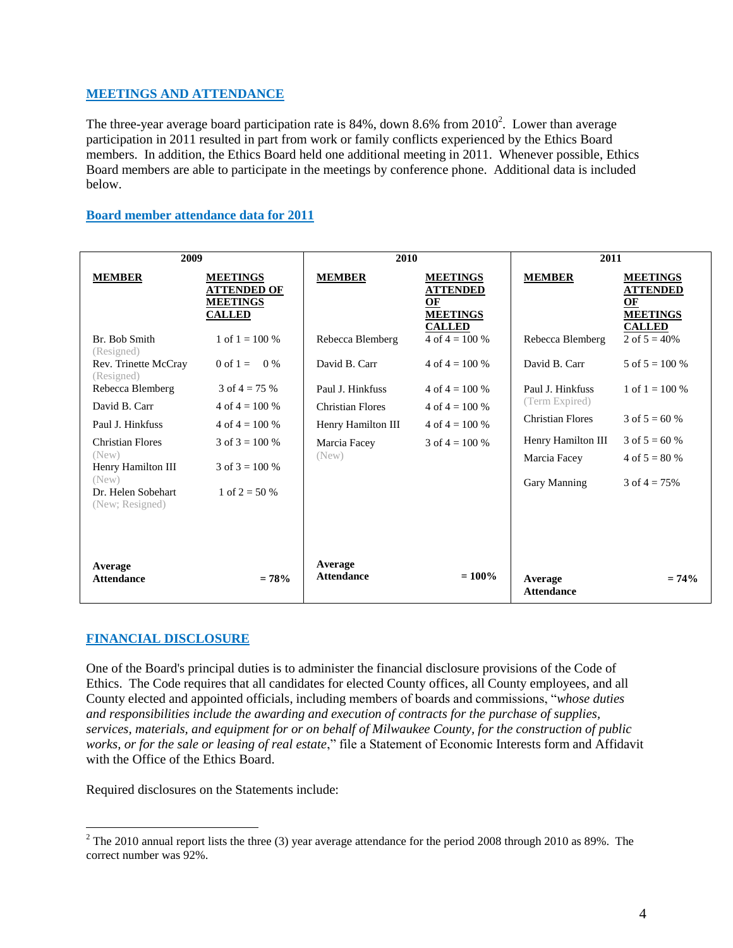## **MEETINGS AND ATTENDANCE**

The three-year average board participation rate is 84%, down 8.6% from  $2010^2$ . Lower than average participation in 2011 resulted in part from work or family conflicts experienced by the Ethics Board members. In addition, the Ethics Board held one additional meeting in 2011. Whenever possible, Ethics Board members are able to participate in the meetings by conference phone. Additional data is included below.

#### **Board member attendance data for 2011**

| 2009                                  |                                                                           | 2010                         |                                                                              | 2011                         |                                                                              |
|---------------------------------------|---------------------------------------------------------------------------|------------------------------|------------------------------------------------------------------------------|------------------------------|------------------------------------------------------------------------------|
| <b>MEMBER</b>                         | <b>MEETINGS</b><br><b>ATTENDED OF</b><br><b>MEETINGS</b><br><b>CALLED</b> | <b>MEMBER</b>                | <b>MEETINGS</b><br><b>ATTENDED</b><br>OF<br><b>MEETINGS</b><br><b>CALLED</b> | <b>MEMBER</b>                | <b>MEETINGS</b><br><b>ATTENDED</b><br>OF<br><b>MEETINGS</b><br><b>CALLED</b> |
| Br. Bob Smith<br>(Resigned)           | 1 of $1 = 100\%$                                                          | Rebecca Blemberg             | 4 of $4 = 100\%$                                                             | Rebecca Blemberg             | 2 of $5 = 40\%$                                                              |
| Rev. Trinette McCray<br>(Resigned)    | 0 of $1 = 0\%$                                                            | David B. Carr                | 4 of $4 = 100\%$                                                             | David B. Carr                | 5 of $5 = 100\%$                                                             |
| Rebecca Blemberg                      | 3 of $4 = 75%$                                                            | Paul J. Hinkfuss             | 4 of $4 = 100\%$                                                             | Paul J. Hinkfuss             | 1 of $1 = 100\%$                                                             |
| David B. Carr                         | 4 of $4 = 100\%$                                                          | <b>Christian Flores</b>      | 4 of $4 = 100\%$                                                             | (Term Expired)               |                                                                              |
| Paul J. Hinkfuss                      | $4 \text{ of } 4 = 100\%$                                                 | Henry Hamilton III           | $4 \text{ of } 4 = 100 \%$                                                   | <b>Christian Flores</b>      | 3 of $5 = 60\%$                                                              |
| <b>Christian Flores</b>               | $3 \text{ of } 3 = 100\%$                                                 | Marcia Facey                 | $3 \text{ of } 4 = 100 \%$                                                   | Henry Hamilton III           | 3 of $5 = 60%$                                                               |
| (New)<br>Henry Hamilton III           | $3 \text{ of } 3 = 100\%$                                                 | (New)                        |                                                                              | Marcia Facey                 | 4 of $5 = 80%$                                                               |
| (New)                                 |                                                                           |                              |                                                                              | Gary Manning                 | 3 of $4 = 75%$                                                               |
| Dr. Helen Sobehart<br>(New; Resigned) | 1 of $2 = 50%$                                                            |                              |                                                                              |                              |                                                                              |
| Average<br><b>Attendance</b>          | $= 78%$                                                                   | Average<br><b>Attendance</b> | $= 100\%$                                                                    | Average<br><b>Attendance</b> | $= 74%$                                                                      |

## **FINANCIAL DISCLOSURE**

 $\overline{a}$ 

One of the Board's principal duties is to administer the financial disclosure provisions of the Code of Ethics. The Code requires that all candidates for elected County offices, all County employees, and all County elected and appointed officials, including members of boards and commissions, "*whose duties and responsibilities include the awarding and execution of contracts for the purchase of supplies, services, materials, and equipment for or on behalf of Milwaukee County, for the construction of public works, or for the sale or leasing of real estate*," file a Statement of Economic Interests form and Affidavit with the Office of the Ethics Board.

Required disclosures on the Statements include:

<sup>&</sup>lt;sup>2</sup> The 2010 annual report lists the three (3) year average attendance for the period 2008 through 2010 as 89%. The correct number was 92%.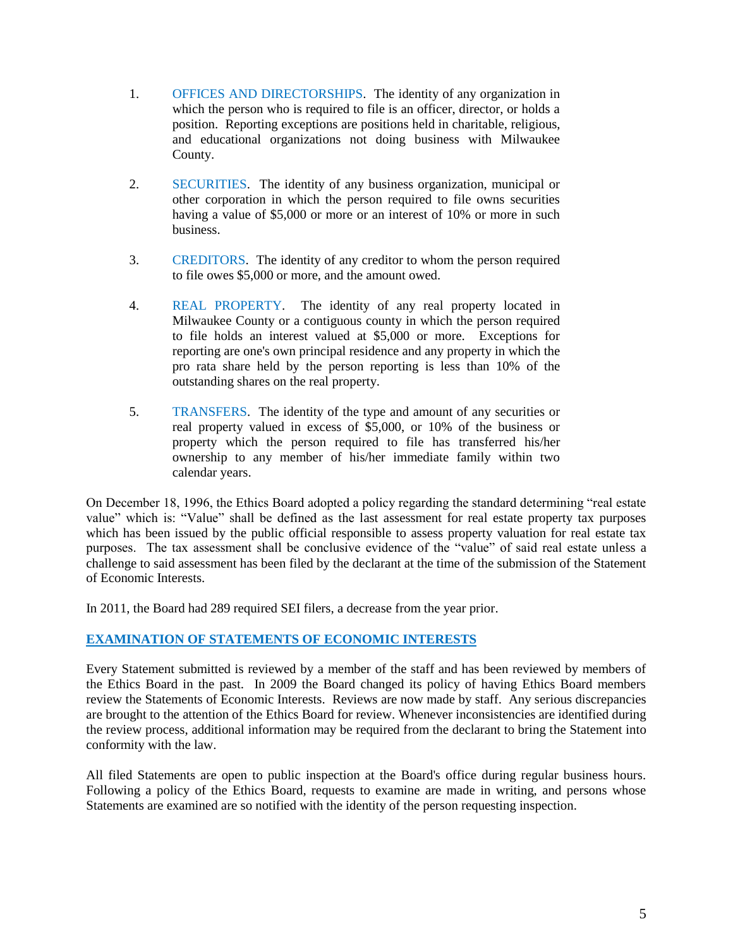- 1. OFFICES AND DIRECTORSHIPS. The identity of any organization in which the person who is required to file is an officer, director, or holds a position. Reporting exceptions are positions held in charitable, religious, and educational organizations not doing business with Milwaukee County.
- 2. SECURITIES. The identity of any business organization, municipal or other corporation in which the person required to file owns securities having a value of \$5,000 or more or an interest of 10% or more in such business.
- 3. CREDITORS. The identity of any creditor to whom the person required to file owes \$5,000 or more, and the amount owed.
- 4. REAL PROPERTY. The identity of any real property located in Milwaukee County or a contiguous county in which the person required to file holds an interest valued at \$5,000 or more. Exceptions for reporting are one's own principal residence and any property in which the pro rata share held by the person reporting is less than 10% of the outstanding shares on the real property.
- 5. TRANSFERS. The identity of the type and amount of any securities or real property valued in excess of \$5,000, or 10% of the business or property which the person required to file has transferred his/her ownership to any member of his/her immediate family within two calendar years.

On December 18, 1996, the Ethics Board adopted a policy regarding the standard determining "real estate value" which is: "Value" shall be defined as the last assessment for real estate property tax purposes which has been issued by the public official responsible to assess property valuation for real estate tax purposes. The tax assessment shall be conclusive evidence of the "value" of said real estate unless a challenge to said assessment has been filed by the declarant at the time of the submission of the Statement of Economic Interests.

In 2011, the Board had 289 required SEI filers, a decrease from the year prior.

## **EXAMINATION OF STATEMENTS OF ECONOMIC INTERESTS**

Every Statement submitted is reviewed by a member of the staff and has been reviewed by members of the Ethics Board in the past. In 2009 the Board changed its policy of having Ethics Board members review the Statements of Economic Interests. Reviews are now made by staff. Any serious discrepancies are brought to the attention of the Ethics Board for review. Whenever inconsistencies are identified during the review process, additional information may be required from the declarant to bring the Statement into conformity with the law.

All filed Statements are open to public inspection at the Board's office during regular business hours. Following a policy of the Ethics Board, requests to examine are made in writing, and persons whose Statements are examined are so notified with the identity of the person requesting inspection.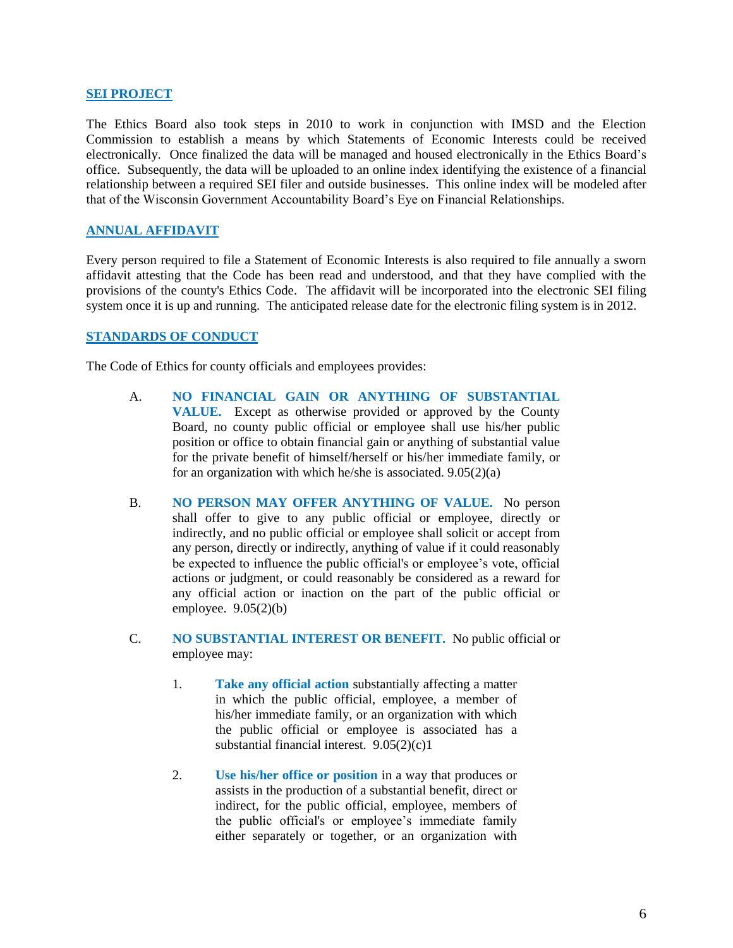#### **SEI PROJECT**

The Ethics Board also took steps in 2010 to work in conjunction with IMSD and the Election Commission to establish a means by which Statements of Economic Interests could be received electronically. Once finalized the data will be managed and housed electronically in the Ethics Board's office. Subsequently, the data will be uploaded to an online index identifying the existence of a financial relationship between a required SEI filer and outside businesses. This online index will be modeled after that of the Wisconsin Government Accountability Board's Eye on Financial Relationships.

## **ANNUAL AFFIDAVIT**

Every person required to file a Statement of Economic Interests is also required to file annually a sworn affidavit attesting that the Code has been read and understood, and that they have complied with the provisions of the county's Ethics Code. The affidavit will be incorporated into the electronic SEI filing system once it is up and running. The anticipated release date for the electronic filing system is in 2012.

#### **STANDARDS OF CONDUCT**

The Code of Ethics for county officials and employees provides:

- A. **NO FINANCIAL GAIN OR ANYTHING OF SUBSTANTIAL VALUE.** Except as otherwise provided or approved by the County Board, no county public official or employee shall use his/her public position or office to obtain financial gain or anything of substantial value for the private benefit of himself/herself or his/her immediate family, or for an organization with which he/she is associated. 9.05(2)(a)
- B. **NO PERSON MAY OFFER ANYTHING OF VALUE.** No person shall offer to give to any public official or employee, directly or indirectly, and no public official or employee shall solicit or accept from any person, directly or indirectly, anything of value if it could reasonably be expected to influence the public official's or employee's vote, official actions or judgment, or could reasonably be considered as a reward for any official action or inaction on the part of the public official or employee.  $9.05(2)(b)$
- C. **NO SUBSTANTIAL INTEREST OR BENEFIT.** No public official or employee may:
	- 1. **Take any official action** substantially affecting a matter in which the public official, employee, a member of his/her immediate family, or an organization with which the public official or employee is associated has a substantial financial interest.  $9.05(2)(c)1$
	- 2. **Use his/her office or position** in a way that produces or assists in the production of a substantial benefit, direct or indirect, for the public official, employee, members of the public official's or employee's immediate family either separately or together, or an organization with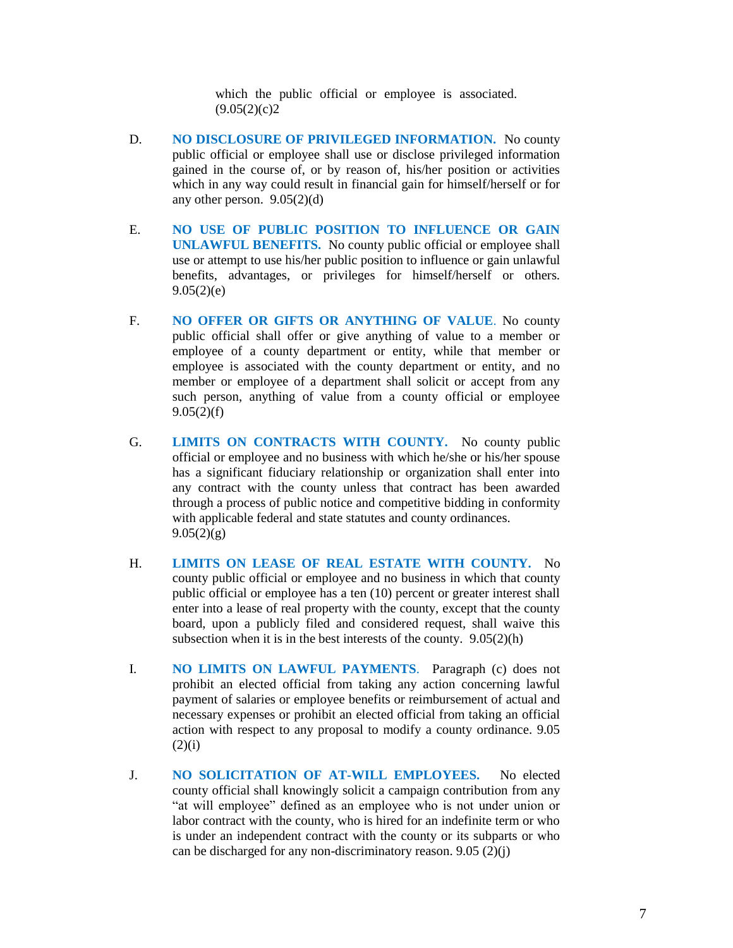which the public official or employee is associated.  $(9.05(2)(c)2)$ 

- D. **NO DISCLOSURE OF PRIVILEGED INFORMATION.** No county public official or employee shall use or disclose privileged information gained in the course of, or by reason of, his/her position or activities which in any way could result in financial gain for himself/herself or for any other person.  $9.05(2)(d)$
- E. **NO USE OF PUBLIC POSITION TO INFLUENCE OR GAIN UNLAWFUL BENEFITS.** No county public official or employee shall use or attempt to use his/her public position to influence or gain unlawful benefits, advantages, or privileges for himself/herself or others.  $9.05(2)(e)$
- F. **NO OFFER OR GIFTS OR ANYTHING OF VALUE**. No county public official shall offer or give anything of value to a member or employee of a county department or entity, while that member or employee is associated with the county department or entity, and no member or employee of a department shall solicit or accept from any such person, anything of value from a county official or employee  $9.05(2)(f)$
- G. **LIMITS ON CONTRACTS WITH COUNTY.** No county public official or employee and no business with which he/she or his/her spouse has a significant fiduciary relationship or organization shall enter into any contract with the county unless that contract has been awarded through a process of public notice and competitive bidding in conformity with applicable federal and state statutes and county ordinances.  $9.05(2)(g)$
- H. **LIMITS ON LEASE OF REAL ESTATE WITH COUNTY.** No county public official or employee and no business in which that county public official or employee has a ten (10) percent or greater interest shall enter into a lease of real property with the county, except that the county board, upon a publicly filed and considered request, shall waive this subsection when it is in the best interests of the county. 9.05(2)(h)
- I. **NO LIMITS ON LAWFUL PAYMENTS**. Paragraph (c) does not prohibit an elected official from taking any action concerning lawful payment of salaries or employee benefits or reimbursement of actual and necessary expenses or prohibit an elected official from taking an official action with respect to any proposal to modify a county ordinance. 9.05  $(2)(i)$
- J. **NO SOLICITATION OF AT-WILL EMPLOYEES.** No elected county official shall knowingly solicit a campaign contribution from any "at will employee" defined as an employee who is not under union or labor contract with the county, who is hired for an indefinite term or who is under an independent contract with the county or its subparts or who can be discharged for any non-discriminatory reason. 9.05 (2)(j)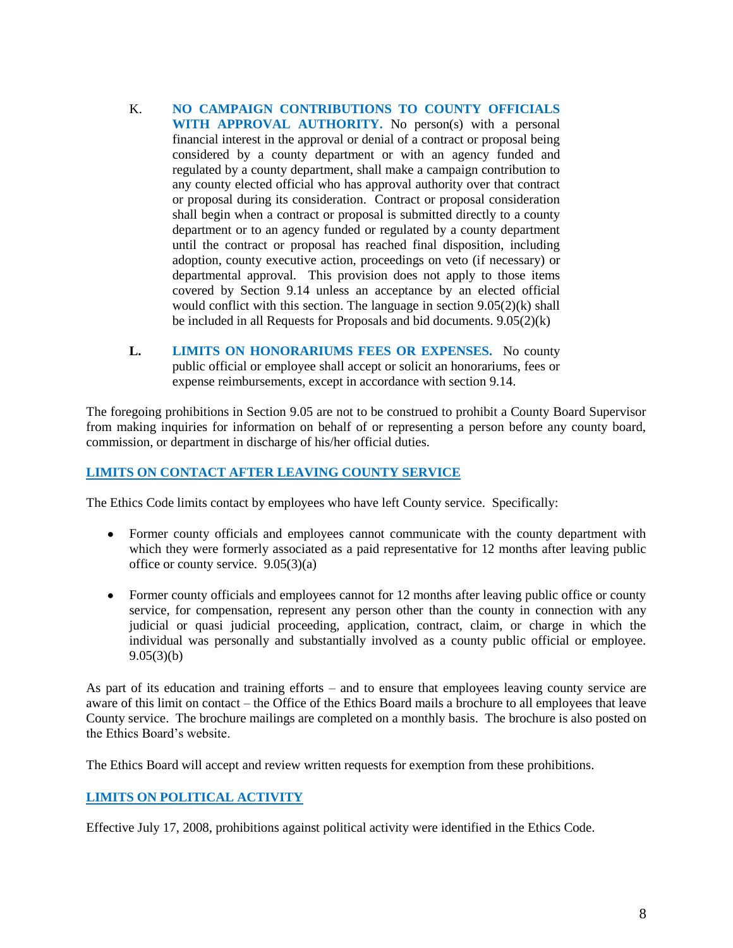- K. **NO CAMPAIGN CONTRIBUTIONS TO COUNTY OFFICIALS WITH APPROVAL AUTHORITY.** No person(s) with a personal financial interest in the approval or denial of a contract or proposal being considered by a county department or with an agency funded and regulated by a county department, shall make a campaign contribution to any county elected official who has approval authority over that contract or proposal during its consideration. Contract or proposal consideration shall begin when a contract or proposal is submitted directly to a county department or to an agency funded or regulated by a county department until the contract or proposal has reached final disposition, including adoption, county executive action, proceedings on veto (if necessary) or departmental approval. This provision does not apply to those items covered by Section 9.14 unless an acceptance by an elected official would conflict with this section. The language in section 9.05(2)(k) shall be included in all Requests for Proposals and bid documents. 9.05(2)(k)
- **L. LIMITS ON HONORARIUMS FEES OR EXPENSES.** No county public official or employee shall accept or solicit an honorariums, fees or expense reimbursements, except in accordance with section 9.14.

The foregoing prohibitions in Section 9.05 are not to be construed to prohibit a County Board Supervisor from making inquiries for information on behalf of or representing a person before any county board, commission, or department in discharge of his/her official duties.

## **LIMITS ON CONTACT AFTER LEAVING COUNTY SERVICE**

The Ethics Code limits contact by employees who have left County service. Specifically:

- Former county officials and employees cannot communicate with the county department with which they were formerly associated as a paid representative for 12 months after leaving public office or county service. 9.05(3)(a)
- Former county officials and employees cannot for 12 months after leaving public office or county service, for compensation, represent any person other than the county in connection with any judicial or quasi judicial proceeding, application, contract, claim, or charge in which the individual was personally and substantially involved as a county public official or employee.  $9.05(3)(b)$

As part of its education and training efforts – and to ensure that employees leaving county service are aware of this limit on contact – the Office of the Ethics Board mails a brochure to all employees that leave County service. The brochure mailings are completed on a monthly basis. The brochure is also posted on the Ethics Board's website.

The Ethics Board will accept and review written requests for exemption from these prohibitions.

## **LIMITS ON POLITICAL ACTIVITY**

Effective July 17, 2008, prohibitions against political activity were identified in the Ethics Code.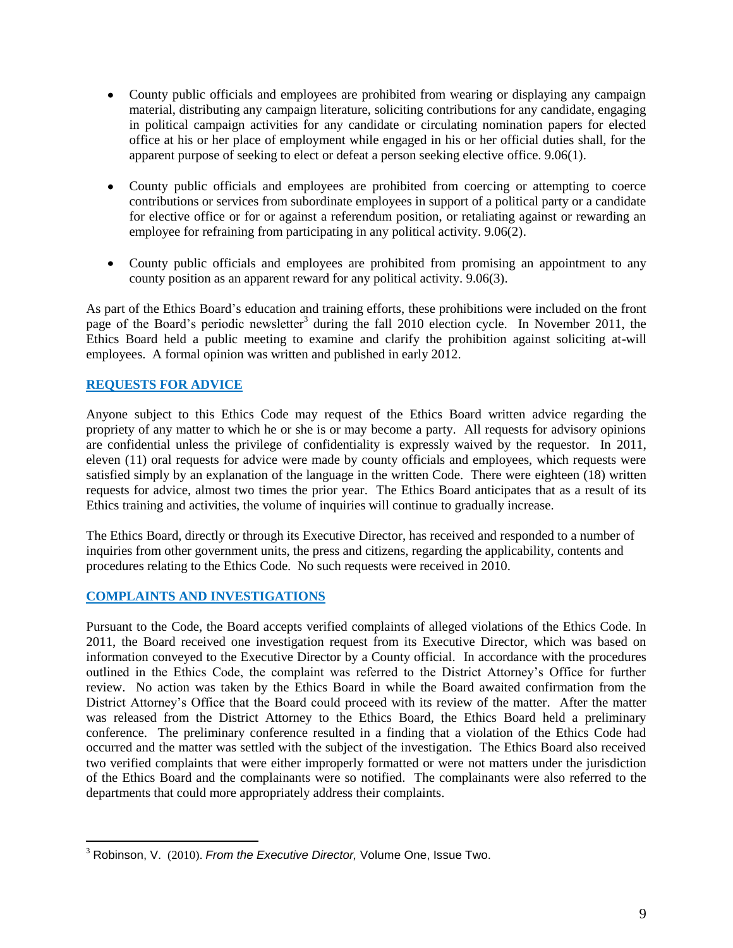- County public officials and employees are prohibited from wearing or displaying any campaign material, distributing any campaign literature, soliciting contributions for any candidate, engaging in political campaign activities for any candidate or circulating nomination papers for elected office at his or her place of employment while engaged in his or her official duties shall, for the apparent purpose of seeking to elect or defeat a person seeking elective office. 9.06(1).
- County public officials and employees are prohibited from coercing or attempting to coerce contributions or services from subordinate employees in support of a political party or a candidate for elective office or for or against a referendum position, or retaliating against or rewarding an employee for refraining from participating in any political activity. 9.06(2).
- County public officials and employees are prohibited from promising an appointment to any county position as an apparent reward for any political activity. 9.06(3).

As part of the Ethics Board's education and training efforts, these prohibitions were included on the front page of the Board's periodic newsletter<sup>3</sup> during the fall 2010 election cycle. In November 2011, the Ethics Board held a public meeting to examine and clarify the prohibition against soliciting at-will employees. A formal opinion was written and published in early 2012.

## **REQUESTS FOR ADVICE**

Anyone subject to this Ethics Code may request of the Ethics Board written advice regarding the propriety of any matter to which he or she is or may become a party. All requests for advisory opinions are confidential unless the privilege of confidentiality is expressly waived by the requestor. In 2011, eleven (11) oral requests for advice were made by county officials and employees, which requests were satisfied simply by an explanation of the language in the written Code. There were eighteen (18) written requests for advice, almost two times the prior year. The Ethics Board anticipates that as a result of its Ethics training and activities, the volume of inquiries will continue to gradually increase.

The Ethics Board, directly or through its Executive Director, has received and responded to a number of inquiries from other government units, the press and citizens, regarding the applicability, contents and procedures relating to the Ethics Code. No such requests were received in 2010.

## **COMPLAINTS AND INVESTIGATIONS**

 $\overline{a}$ 

Pursuant to the Code, the Board accepts verified complaints of alleged violations of the Ethics Code. In 2011, the Board received one investigation request from its Executive Director, which was based on information conveyed to the Executive Director by a County official. In accordance with the procedures outlined in the Ethics Code, the complaint was referred to the District Attorney's Office for further review. No action was taken by the Ethics Board in while the Board awaited confirmation from the District Attorney's Office that the Board could proceed with its review of the matter. After the matter was released from the District Attorney to the Ethics Board, the Ethics Board held a preliminary conference. The preliminary conference resulted in a finding that a violation of the Ethics Code had occurred and the matter was settled with the subject of the investigation. The Ethics Board also received two verified complaints that were either improperly formatted or were not matters under the jurisdiction of the Ethics Board and the complainants were so notified. The complainants were also referred to the departments that could more appropriately address their complaints.

<sup>3</sup> Robinson, V. (2010). *From the Executive Director,* Volume One, Issue Two.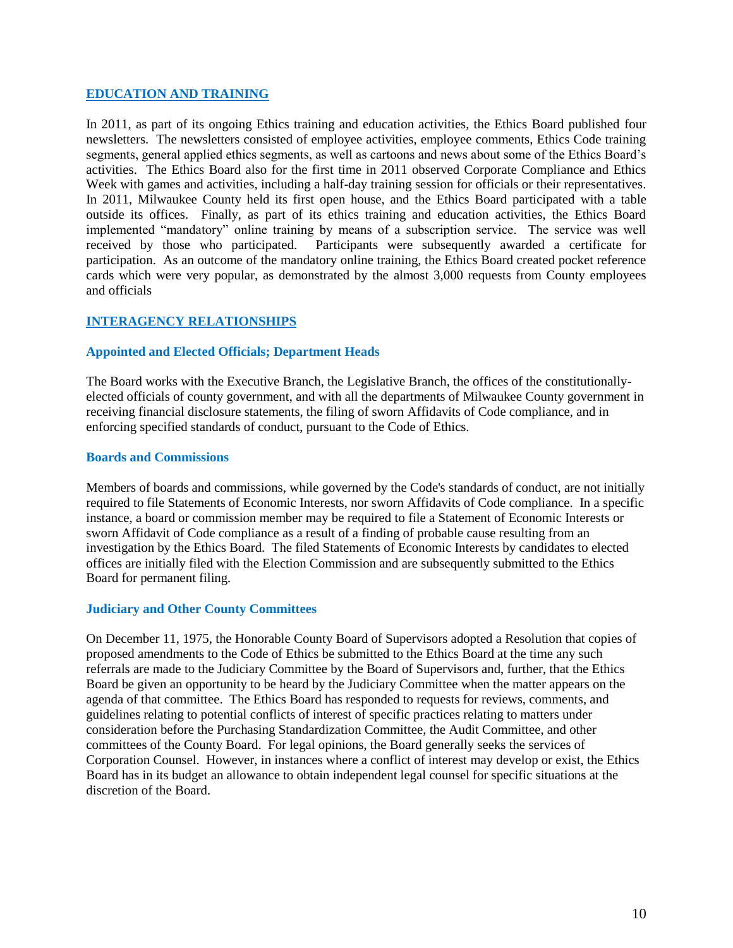#### **EDUCATION AND TRAINING**

In 2011, as part of its ongoing Ethics training and education activities, the Ethics Board published four newsletters. The newsletters consisted of employee activities, employee comments, Ethics Code training segments, general applied ethics segments, as well as cartoons and news about some of the Ethics Board's activities. The Ethics Board also for the first time in 2011 observed Corporate Compliance and Ethics Week with games and activities, including a half-day training session for officials or their representatives. In 2011, Milwaukee County held its first open house, and the Ethics Board participated with a table outside its offices. Finally, as part of its ethics training and education activities, the Ethics Board implemented "mandatory" online training by means of a subscription service. The service was well received by those who participated. Participants were subsequently awarded a certificate for participation. As an outcome of the mandatory online training, the Ethics Board created pocket reference cards which were very popular, as demonstrated by the almost 3,000 requests from County employees and officials

## **INTERAGENCY RELATIONSHIPS**

#### **Appointed and Elected Officials; Department Heads**

The Board works with the Executive Branch, the Legislative Branch, the offices of the constitutionallyelected officials of county government, and with all the departments of Milwaukee County government in receiving financial disclosure statements, the filing of sworn Affidavits of Code compliance, and in enforcing specified standards of conduct, pursuant to the Code of Ethics.

#### **Boards and Commissions**

Members of boards and commissions, while governed by the Code's standards of conduct, are not initially required to file Statements of Economic Interests, nor sworn Affidavits of Code compliance. In a specific instance, a board or commission member may be required to file a Statement of Economic Interests or sworn Affidavit of Code compliance as a result of a finding of probable cause resulting from an investigation by the Ethics Board. The filed Statements of Economic Interests by candidates to elected offices are initially filed with the Election Commission and are subsequently submitted to the Ethics Board for permanent filing.

#### **Judiciary and Other County Committees**

On December 11, 1975, the Honorable County Board of Supervisors adopted a Resolution that copies of proposed amendments to the Code of Ethics be submitted to the Ethics Board at the time any such referrals are made to the Judiciary Committee by the Board of Supervisors and, further, that the Ethics Board be given an opportunity to be heard by the Judiciary Committee when the matter appears on the agenda of that committee. The Ethics Board has responded to requests for reviews, comments, and guidelines relating to potential conflicts of interest of specific practices relating to matters under consideration before the Purchasing Standardization Committee, the Audit Committee, and other committees of the County Board. For legal opinions, the Board generally seeks the services of Corporation Counsel. However, in instances where a conflict of interest may develop or exist, the Ethics Board has in its budget an allowance to obtain independent legal counsel for specific situations at the discretion of the Board.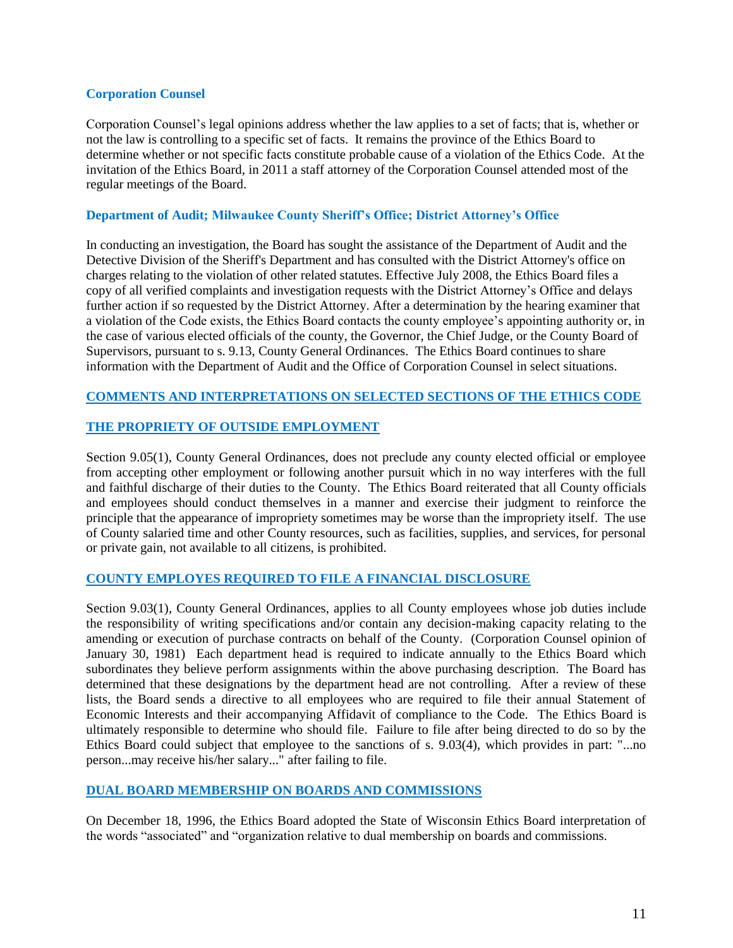#### **Corporation Counsel**

Corporation Counsel's legal opinions address whether the law applies to a set of facts; that is, whether or not the law is controlling to a specific set of facts. It remains the province of the Ethics Board to determine whether or not specific facts constitute probable cause of a violation of the Ethics Code. At the invitation of the Ethics Board, in 2011 a staff attorney of the Corporation Counsel attended most of the regular meetings of the Board.

#### **Department of Audit; Milwaukee County Sheriff's Office; District Attorney's Office**

In conducting an investigation, the Board has sought the assistance of the Department of Audit and the Detective Division of the Sheriff's Department and has consulted with the District Attorney's office on charges relating to the violation of other related statutes. Effective July 2008, the Ethics Board files a copy of all verified complaints and investigation requests with the District Attorney's Office and delays further action if so requested by the District Attorney. After a determination by the hearing examiner that a violation of the Code exists, the Ethics Board contacts the county employee's appointing authority or, in the case of various elected officials of the county, the Governor, the Chief Judge, or the County Board of Supervisors, pursuant to s. 9.13, County General Ordinances. The Ethics Board continues to share information with the Department of Audit and the Office of Corporation Counsel in select situations.

# **COMMENTS AND INTERPRETATIONS ON SELECTED SECTIONS OF THE ETHICS CODE**

## **THE PROPRIETY OF OUTSIDE EMPLOYMENT**

Section 9.05(1), County General Ordinances, does not preclude any county elected official or employee from accepting other employment or following another pursuit which in no way interferes with the full and faithful discharge of their duties to the County. The Ethics Board reiterated that all County officials and employees should conduct themselves in a manner and exercise their judgment to reinforce the principle that the appearance of impropriety sometimes may be worse than the impropriety itself. The use of County salaried time and other County resources, such as facilities, supplies, and services, for personal or private gain, not available to all citizens, is prohibited.

#### **COUNTY EMPLOYES REQUIRED TO FILE A FINANCIAL DISCLOSURE**

Section 9.03(1), County General Ordinances, applies to all County employees whose job duties include the responsibility of writing specifications and/or contain any decision-making capacity relating to the amending or execution of purchase contracts on behalf of the County. (Corporation Counsel opinion of January 30, 1981) Each department head is required to indicate annually to the Ethics Board which subordinates they believe perform assignments within the above purchasing description. The Board has determined that these designations by the department head are not controlling. After a review of these lists, the Board sends a directive to all employees who are required to file their annual Statement of Economic Interests and their accompanying Affidavit of compliance to the Code. The Ethics Board is ultimately responsible to determine who should file. Failure to file after being directed to do so by the Ethics Board could subject that employee to the sanctions of s. 9.03(4), which provides in part: "...no person...may receive his/her salary..." after failing to file.

#### **DUAL BOARD MEMBERSHIP ON BOARDS AND COMMISSIONS**

On December 18, 1996, the Ethics Board adopted the State of Wisconsin Ethics Board interpretation of the words "associated" and "organization relative to dual membership on boards and commissions.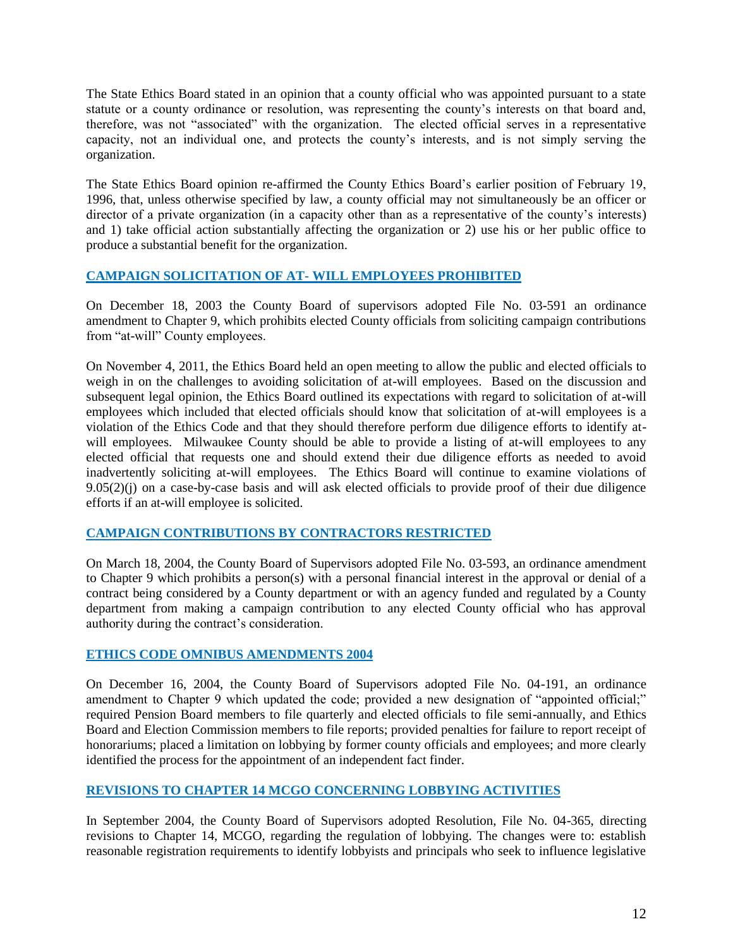The State Ethics Board stated in an opinion that a county official who was appointed pursuant to a state statute or a county ordinance or resolution, was representing the county's interests on that board and, therefore, was not "associated" with the organization. The elected official serves in a representative capacity, not an individual one, and protects the county's interests, and is not simply serving the organization.

The State Ethics Board opinion re-affirmed the County Ethics Board's earlier position of February 19, 1996, that, unless otherwise specified by law, a county official may not simultaneously be an officer or director of a private organization (in a capacity other than as a representative of the county's interests) and 1) take official action substantially affecting the organization or 2) use his or her public office to produce a substantial benefit for the organization.

## **CAMPAIGN SOLICITATION OF AT- WILL EMPLOYEES PROHIBITED**

On December 18, 2003 the County Board of supervisors adopted File No. 03-591 an ordinance amendment to Chapter 9, which prohibits elected County officials from soliciting campaign contributions from "at-will" County employees.

On November 4, 2011, the Ethics Board held an open meeting to allow the public and elected officials to weigh in on the challenges to avoiding solicitation of at-will employees. Based on the discussion and subsequent legal opinion, the Ethics Board outlined its expectations with regard to solicitation of at-will employees which included that elected officials should know that solicitation of at-will employees is a violation of the Ethics Code and that they should therefore perform due diligence efforts to identify atwill employees. Milwaukee County should be able to provide a listing of at-will employees to any elected official that requests one and should extend their due diligence efforts as needed to avoid inadvertently soliciting at-will employees. The Ethics Board will continue to examine violations of 9.05(2)(j) on a case-by-case basis and will ask elected officials to provide proof of their due diligence efforts if an at-will employee is solicited.

## **CAMPAIGN CONTRIBUTIONS BY CONTRACTORS RESTRICTED**

On March 18, 2004, the County Board of Supervisors adopted File No. 03-593, an ordinance amendment to Chapter 9 which prohibits a person(s) with a personal financial interest in the approval or denial of a contract being considered by a County department or with an agency funded and regulated by a County department from making a campaign contribution to any elected County official who has approval authority during the contract's consideration.

## **ETHICS CODE OMNIBUS AMENDMENTS 2004**

On December 16, 2004, the County Board of Supervisors adopted File No. 04-191, an ordinance amendment to Chapter 9 which updated the code; provided a new designation of "appointed official;" required Pension Board members to file quarterly and elected officials to file semi-annually, and Ethics Board and Election Commission members to file reports; provided penalties for failure to report receipt of honorariums; placed a limitation on lobbying by former county officials and employees; and more clearly identified the process for the appointment of an independent fact finder.

## **REVISIONS TO CHAPTER 14 MCGO CONCERNING LOBBYING ACTIVITIES**

In September 2004, the County Board of Supervisors adopted Resolution, File No. 04-365, directing revisions to Chapter 14, MCGO, regarding the regulation of lobbying. The changes were to: establish reasonable registration requirements to identify lobbyists and principals who seek to influence legislative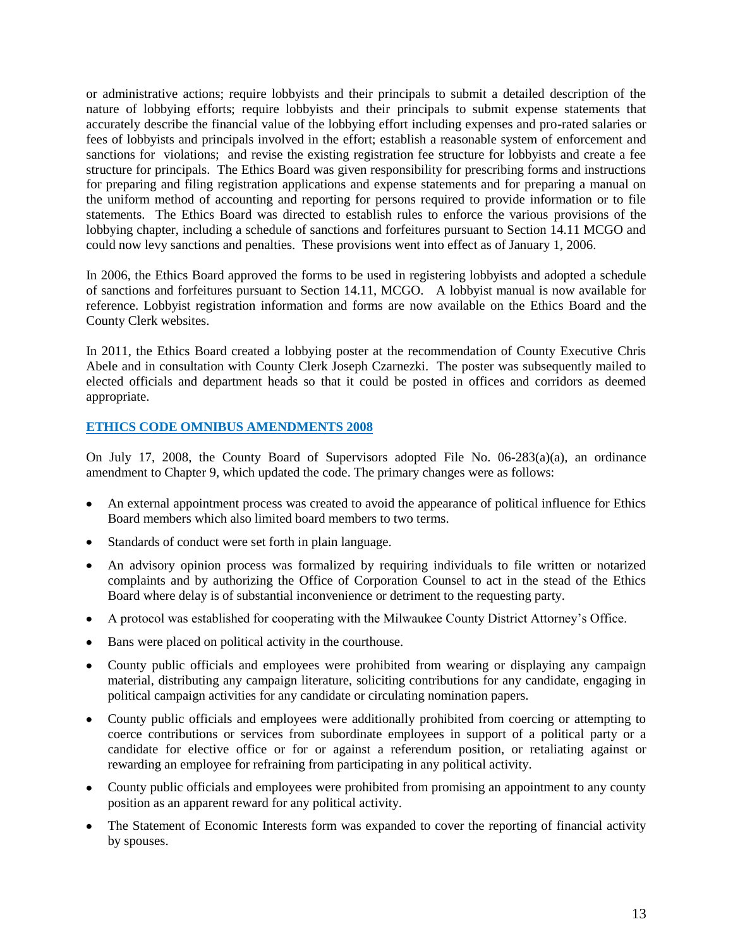or administrative actions; require lobbyists and their principals to submit a detailed description of the nature of lobbying efforts; require lobbyists and their principals to submit expense statements that accurately describe the financial value of the lobbying effort including expenses and pro-rated salaries or fees of lobbyists and principals involved in the effort; establish a reasonable system of enforcement and sanctions for violations; and revise the existing registration fee structure for lobbyists and create a fee structure for principals. The Ethics Board was given responsibility for prescribing forms and instructions for preparing and filing registration applications and expense statements and for preparing a manual on the uniform method of accounting and reporting for persons required to provide information or to file statements. The Ethics Board was directed to establish rules to enforce the various provisions of the lobbying chapter, including a schedule of sanctions and forfeitures pursuant to Section 14.11 MCGO and could now levy sanctions and penalties. These provisions went into effect as of January 1, 2006.

In 2006, the Ethics Board approved the forms to be used in registering lobbyists and adopted a schedule of sanctions and forfeitures pursuant to Section 14.11, MCGO. A lobbyist manual is now available for reference. Lobbyist registration information and forms are now available on the Ethics Board and the County Clerk websites.

In 2011, the Ethics Board created a lobbying poster at the recommendation of County Executive Chris Abele and in consultation with County Clerk Joseph Czarnezki. The poster was subsequently mailed to elected officials and department heads so that it could be posted in offices and corridors as deemed appropriate.

## **ETHICS CODE OMNIBUS AMENDMENTS 2008**

On July 17, 2008, the County Board of Supervisors adopted File No.  $06-283(a)(a)$ , an ordinance amendment to Chapter 9, which updated the code. The primary changes were as follows:

- An external appointment process was created to avoid the appearance of political influence for Ethics Board members which also limited board members to two terms.
- Standards of conduct were set forth in plain language.
- An advisory opinion process was formalized by requiring individuals to file written or notarized complaints and by authorizing the Office of Corporation Counsel to act in the stead of the Ethics Board where delay is of substantial inconvenience or detriment to the requesting party.
- A protocol was established for cooperating with the Milwaukee County District Attorney's Office.
- Bans were placed on political activity in the courthouse.
- County public officials and employees were prohibited from wearing or displaying any campaign material, distributing any campaign literature, soliciting contributions for any candidate, engaging in political campaign activities for any candidate or circulating nomination papers.
- County public officials and employees were additionally prohibited from coercing or attempting to coerce contributions or services from subordinate employees in support of a political party or a candidate for elective office or for or against a referendum position, or retaliating against or rewarding an employee for refraining from participating in any political activity.
- County public officials and employees were prohibited from promising an appointment to any county position as an apparent reward for any political activity.
- The Statement of Economic Interests form was expanded to cover the reporting of financial activity by spouses.